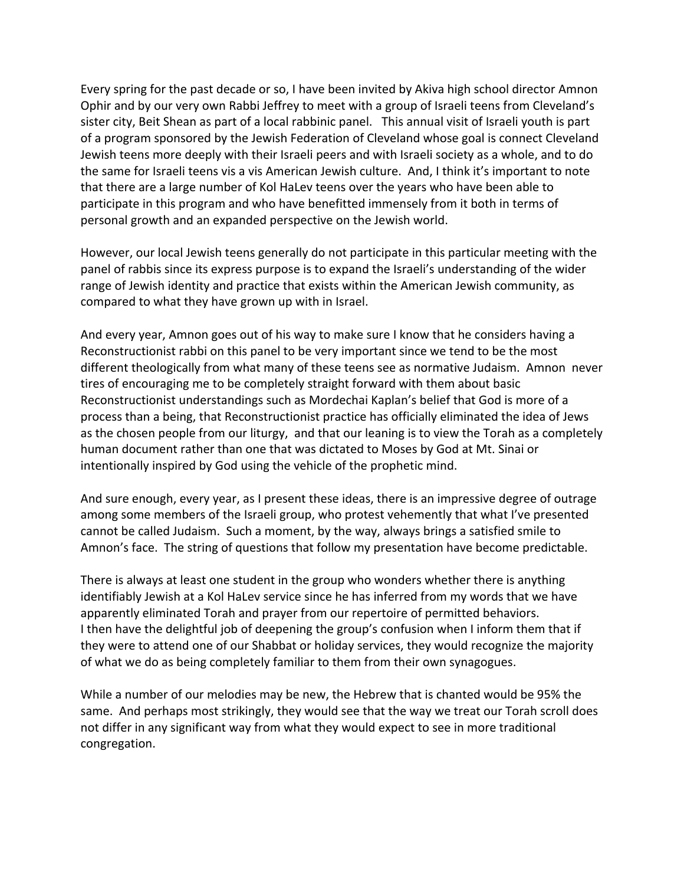Every spring for the past decade or so, I have been invited by Akiva high school director Amnon Ophir and by our very own Rabbi Jeffrey to meet with a group of Israeli teens from Cleveland's sister city, Beit Shean as part of a local rabbinic panel. This annual visit of Israeli youth is part of
a
program
sponsored
by
the
Jewish
Federation
of
Cleveland
whose
goal
is
connect
Cleveland Jewish teens more deeply with their Israeli peers and with Israeli society as a whole, and to do the same for Israeli teens vis a vis American Jewish culture. And, I think it's important to note that there are a large number of Kol HaLev teens over the years who have been able to participate
in
this
program
and
who
have
benefitted
immensely
from
it
both
in
terms
of personal growth and an expanded perspective on the Jewish world.

However, our local Jewish teens generally do not participate in this particular meeting with the panel
of
rabbis
since
its
express
purpose
is
to
expand
the
Israeli's
understanding
of
the
wider range
of
Jewish
identity
and
practice
that
exists
within
the
American
Jewish
community,
as compared
to
what
they
have
grown
up
with
in
Israel.

And
every
year,
Amnon
goes
out
of
his
way
to
make
sure
I
know
that
he
considers
having
a Reconstructionist rabbi on this panel to be very important since we tend to be the most different
theologically
from
what
many
of
these
teens
see
as
normative
Judaism.

Amnon

never tires
of
encouraging
me
to
be
completely
straight
forward
with
them
about
basic Reconstructionist understandings such as Mordechai Kaplan's belief that God is more of a process
than
a
being,
that
Reconstructionist
practice
has
officially
eliminated
the
idea
of
Jews as the chosen people from our liturgy, and that our leaning is to view the Torah as a completely human document rather than one that was dictated to Moses by God at Mt. Sinai or intentionally inspired by God using the vehicle of the prophetic mind.

And sure enough, every year, as I present these ideas, there is an impressive degree of outrage among
some
members
of
the
Israeli
group,
who
protest
vehemently
that
what
I've
presented cannot
be
called
Judaism.

Such
a
moment,
by
the
way,
always
brings
a
satisfied
smile
to Amnon's
face.

The
string
of
questions
that
follow
my
presentation
have
become
predictable.

There is always at least one student in the group who wonders whether there is anything identifiably Jewish at a Kol HaLev service since he has inferred from my words that we have apparently
eliminated
Torah
and
prayer
from
our
repertoire
of
permitted
behaviors. I then have the delightful job of deepening the group's confusion when I inform them that if they were to attend one of our Shabbat or holiday services, they would recognize the majority of
what
we
do
as
being
completely
familiar
to
them
from
their
own
synagogues.

While a number of our melodies may be new, the Hebrew that is chanted would be 95% the same. And perhaps most strikingly, they would see that the way we treat our Torah scroll does not
differ
in
any
significant
way
from
what
they
would
expect
to
see
in
more
traditional congregation.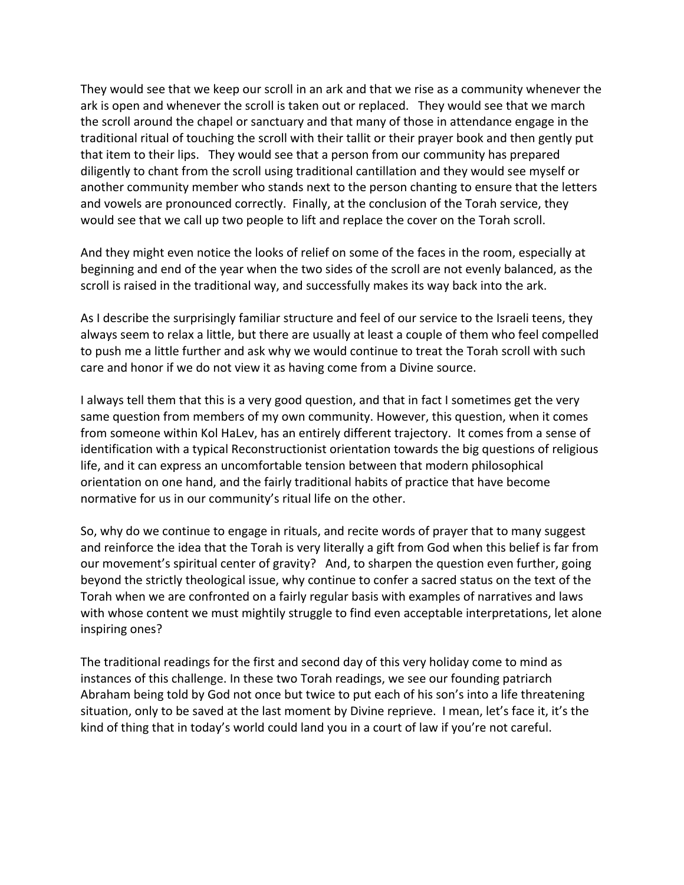They would see that we keep our scroll in an ark and that we rise as a community whenever the ark
is
open
and
whenever
the
scroll
is
taken
out
or
replaced. They
would
see
that
we
march the scroll around the chapel or sanctuary and that many of those in attendance engage in the traditional ritual of touching the scroll with their tallit or their prayer book and then gently put that
item
to
their
lips. They
would
see
that
a
person
from
our
community
has
prepared diligently to chant from the scroll using traditional cantillation and they would see myself or another
community
member
who
stands
next
to
the
person
chanting
to
ensure
that
the
letters and vowels are pronounced correctly. Finally, at the conclusion of the Torah service, they would see that we call up two people to lift and replace the cover on the Torah scroll.

And they might even notice the looks of relief on some of the faces in the room, especially at beginning and end of the year when the two sides of the scroll are not evenly balanced, as the scroll is raised in the traditional way, and successfully makes its way back into the ark.

As I describe the surprisingly familiar structure and feel of our service to the Israeli teens, they always seem to relax a little, but there are usually at least a couple of them who feel compelled to push me a little further and ask why we would continue to treat the Torah scroll with such care
and
honor
if
we
do
not
view
it
as
having
come
from
a
Divine
source.

I always tell them that this is a very good question, and that in fact I sometimes get the very same
question
from
members
of
my
own
community. However,
this
question,
when
it
comes from someone within Kol HaLev, has an entirely different trajectory. It comes from a sense of identification with a typical Reconstructionist orientation towards the big questions of religious life,
and
it
can
express
an
uncomfortable
tension
between
that
modern
philosophical orientation
on
one
hand,
and
the
fairly
traditional
habits
of
practice
that
have
become normative for us in our community's ritual life on the other.

So, why do we continue to engage in rituals, and recite words of prayer that to many suggest and reinforce the idea that the Torah is very literally a gift from God when this belief is far from our movement's spiritual center of gravity? And, to sharpen the question even further, going beyond the strictly theological issue, why continue to confer a sacred status on the text of the Torah when we are confronted on a fairly regular basis with examples of narratives and laws with whose content we must mightily struggle to find even acceptable interpretations, let alone inspiring
ones?

The traditional readings for the first and second day of this very holiday come to mind as instances of this challenge. In these two Torah readings, we see our founding patriarch Abraham being told by God not once but twice to put each of his son's into a life threatening situation, only to be saved at the last moment by Divine reprieve. I mean, let's face it, it's the kind of thing that in today's world could land you in a court of law if you're not careful.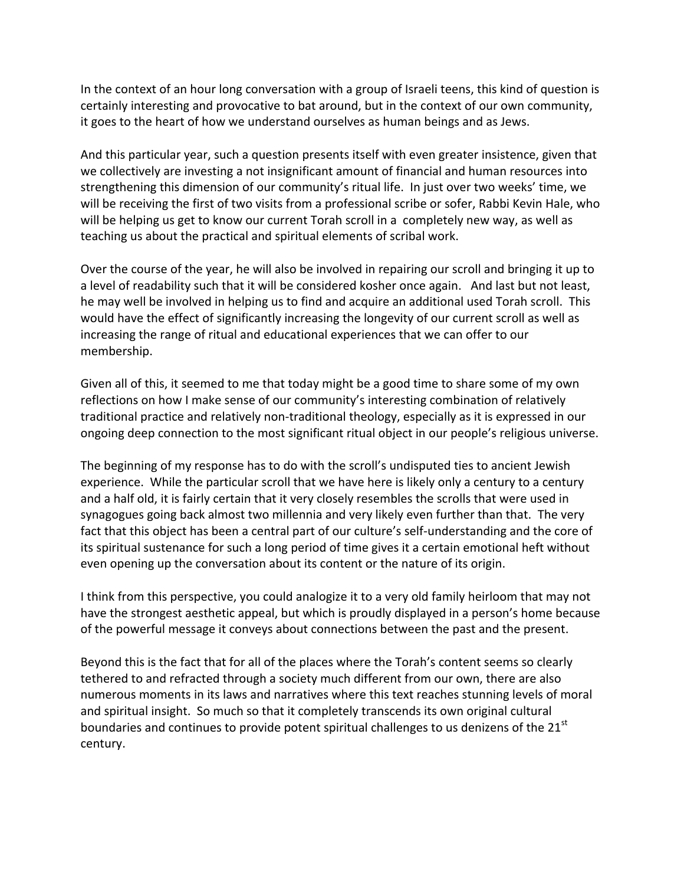In the context of an hour long conversation with a group of Israeli teens, this kind of question is certainly interesting and provocative to bat around, but in the context of our own community, it goes to the heart of how we understand ourselves as human beings and as Jews.

And this particular year, such a question presents itself with even greater insistence, given that we collectively are investing a not insignificant amount of financial and human resources into strengthening this dimension of our community's ritual life. In just over two weeks' time, we will be receiving the first of two visits from a professional scribe or sofer, Rabbi Kevin Hale, who will be helping us get to know our current Torah scroll in a completely new way, as well as teaching
us
about
the
practical
and
spiritual
elements
of
scribal
work.

Over the course of the year, he will also be involved in repairing our scroll and bringing it up to a level of readability such that it will be considered kosher once again. And last but not least, he may well be involved in helping us to find and acquire an additional used Torah scroll. This would have the effect of significantly increasing the longevity of our current scroll as well as increasing the range of ritual and educational experiences that we can offer to our membership.

Given all of this, it seemed to me that today might be a good time to share some of my own reflections on how I make sense of our community's interesting combination of relatively traditional practice and relatively non-traditional theology, especially as it is expressed in our ongoing
deep
connection
to
the
most
significant
ritual
object
in
our
people's
religious
universe.

The beginning of my response has to do with the scroll's undisputed ties to ancient Jewish experience. While the particular scroll that we have here is likely only a century to a century and a half old, it is fairly certain that it very closely resembles the scrolls that were used in synagogues going back almost two millennia and very likely even further than that. The very fact that this object has been a central part of our culture's self-understanding and the core of its spiritual sustenance for such a long period of time gives it a certain emotional heft without even opening up the conversation about its content or the nature of its origin.

I think from this perspective, you could analogize it to a very old family heirloom that may not have the strongest aesthetic appeal, but which is proudly displayed in a person's home because of
the
powerful
message
it
conveys
about
connections
between
the
past
and
the
present.

Beyond this is the fact that for all of the places where the Torah's content seems so clearly tethered to and refracted through a society much different from our own, there are also numerous moments in its laws and narratives where this text reaches stunning levels of moral and
spiritual
insight.

So
much
so
that
it
completely
transcends
its
own
original
cultural boundaries and continues to provide potent spiritual challenges to us denizens of the 21<sup>st</sup> century.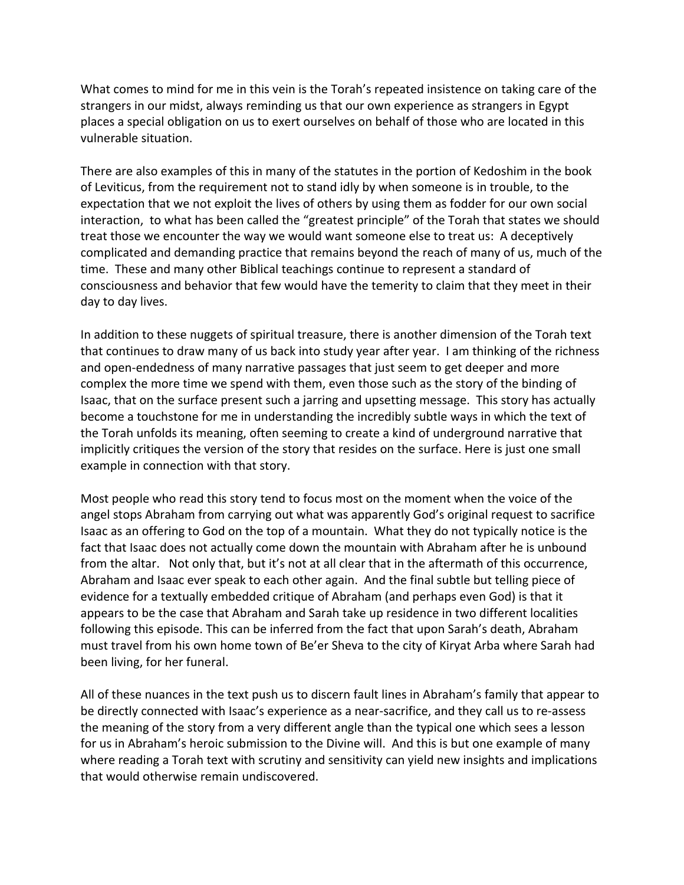What comes to mind for me in this vein is the Torah's repeated insistence on taking care of the strangers
in
our
midst,
always
reminding
us
that
our
own
experience
as
strangers
in
Egypt places
a
special
obligation
on
us
to
exert
ourselves
on
behalf
of
those
who
are
located
in
this vulnerable
situation.

There are also examples of this in many of the statutes in the portion of Kedoshim in the book of
Leviticus,
from
the
requirement
not
to
stand
idly
by
when
someone
is
in
trouble,
to
the expectation that we not exploit the lives of others by using them as fodder for our own social interaction, to what has been called the "greatest principle" of the Torah that states we should treat
those
we
encounter
the
way
we
would
want
someone
else
to
treat
us:

A
deceptively complicated
and
demanding
practice
that
remains
beyond
the
reach
of
many
of
us,
much
of
the time. These and many other Biblical teachings continue to represent a standard of consciousness
and
behavior
that
few
would
have
the
temerity
to
claim
that
they
meet
in
their day
to
day
lives.

In addition to these nuggets of spiritual treasure, there is another dimension of the Torah text that continues to draw many of us back into study year after year. I am thinking of the richness and
open‐endedness
of
many
narrative
passages
that
just
seem
to
get
deeper
and
more complex
the
more
time
we
spend
with
them,
even
those
such
as
the
story
of
the
binding
of Isaac, that on the surface present such a jarring and upsetting message. This story has actually become a touchstone for me in understanding the incredibly subtle ways in which the text of the
Torah
unfolds
its
meaning,
often
seeming
to
create
a
kind
of
underground
narrative
that implicitly critiques the version of the story that resides on the surface. Here is just one small example
in
connection
with
that
story.

Most people who read this story tend to focus most on the moment when the voice of the angel stops Abraham from carrying out what was apparently God's original request to sacrifice Isaac as an offering to God on the top of a mountain. What they do not typically notice is the fact that Isaac does not actually come down the mountain with Abraham after he is unbound from the altar. Not only that, but it's not at all clear that in the aftermath of this occurrence, Abraham and Isaac ever speak to each other again. And the final subtle but telling piece of evidence
for
a
textually
embedded
critique
of
Abraham
(and
perhaps
even
God)
is
that
it appears
to
be
the
case
that
Abraham
and
Sarah
take
up
residence
in
two
different
localities following this episode. This can be inferred from the fact that upon Sarah's death, Abraham must travel from his own home town of Be'er Sheva to the city of Kiryat Arba where Sarah had been
living,
for
her
funeral.

All of these nuances in the text push us to discern fault lines in Abraham's family that appear to be directly connected with Isaac's experience as a near-sacrifice, and they call us to re-assess the meaning of the story from a very different angle than the typical one which sees a lesson for us in Abraham's heroic submission to the Divine will. And this is but one example of many where reading a Torah text with scrutiny and sensitivity can yield new insights and implications that
would
otherwise
remain
undiscovered.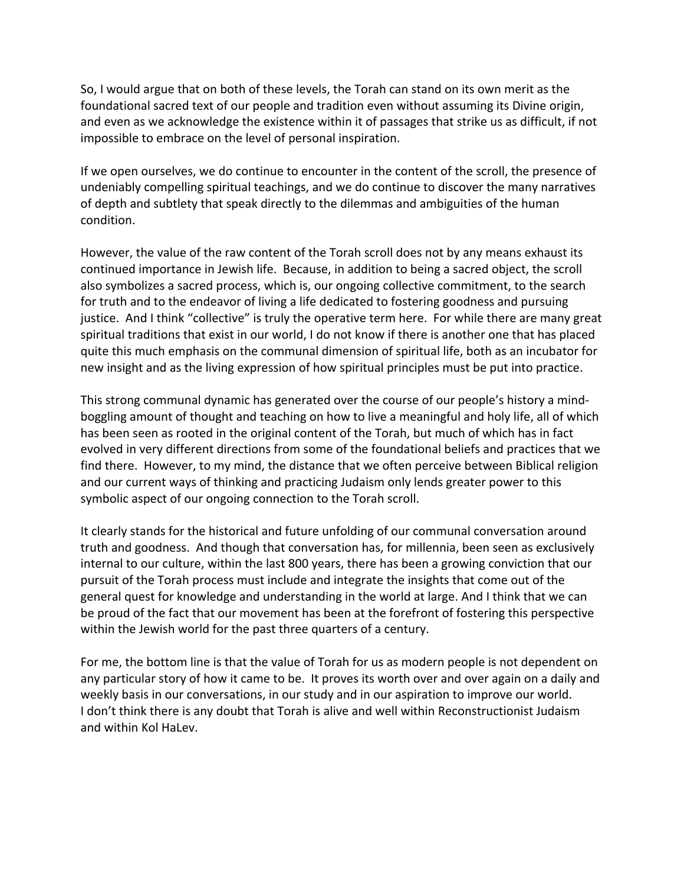So, I would argue that on both of these levels, the Torah can stand on its own merit as the foundational sacred text of our people and tradition even without assuming its Divine origin, and even as we acknowledge the existence within it of passages that strike us as difficult, if not impossible
to
embrace
on
the
level
of
personal
inspiration.

If we open ourselves, we do continue to encounter in the content of the scroll, the presence of undeniably
compelling
spiritual
teachings,
and
we
do
continue
to
discover
the
many
narratives of depth and subtlety that speak directly to the dilemmas and ambiguities of the human condition.

However, the value of the raw content of the Torah scroll does not by any means exhaust its continued importance in Jewish life. Because, in addition to being a sacred object, the scroll also
symbolizes
a
sacred
process,
which
is,
our
ongoing
collective
commitment,
to
the
search for truth and to the endeavor of living a life dedicated to fostering goodness and pursuing justice. And I think "collective" is truly the operative term here. For while there are many great spiritual traditions that exist in our world, I do not know if there is another one that has placed quite
this
much
emphasis
on
the
communal
dimension
of
spiritual
life,
both
as
an
incubator
for new
insight
and
as
the
living
expression
of
how
spiritual
principles
must
be
put
into
practice.

This strong communal dynamic has generated over the course of our people's history a mindboggling amount of thought and teaching on how to live a meaningful and holy life, all of which has been seen as rooted in the original content of the Torah, but much of which has in fact evolved
in
very
different
directions
from
some
of
the
foundational
beliefs
and
practices
that
we find there. However, to my mind, the distance that we often perceive between Biblical religion and
our
current
ways
of
thinking
and
practicing
Judaism
only
lends
greater
power
to
this symbolic aspect of our ongoing connection to the Torah scroll.

It clearly stands for the historical and future unfolding of our communal conversation around truth and goodness. And though that conversation has, for millennia, been seen as exclusively internal
to
our
culture,
within
the
last
800
years,
there
has
been
a
growing
conviction
that
our pursuit of the Torah process must include and integrate the insights that come out of the general quest for knowledge and understanding in the world at large. And I think that we can be proud of the fact that our movement has been at the forefront of fostering this perspective within the Jewish world for the past three quarters of a century.

For me, the bottom line is that the value of Torah for us as modern people is not dependent on any particular story of how it came to be. It proves its worth over and over again on a daily and weekly basis in our conversations, in our study and in our aspiration to improve our world. I don't think there is any doubt that Torah is alive and well within Reconstructionist Judaism and
within
Kol
HaLev.